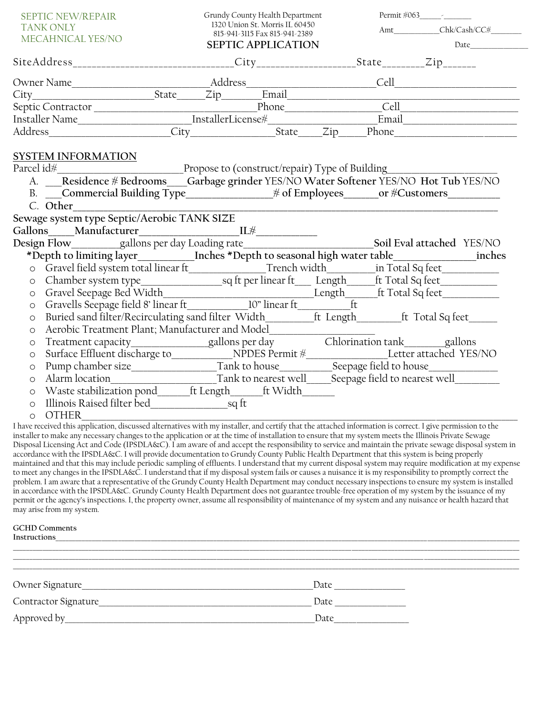| <b>SEPTIC NEW/REPAIR</b><br><b>TANK ONLY</b><br>MECAHNICAL YES/NO                                                                                                                  |                                                                                                                                                            |  | Grundy County Health Department<br>1320 Union St. Morris IL 60450<br>815-941-3115 Fax 815-941-2389<br><b>SEPTIC APPLICATION</b> |  |  |  |  |  |
|------------------------------------------------------------------------------------------------------------------------------------------------------------------------------------|------------------------------------------------------------------------------------------------------------------------------------------------------------|--|---------------------------------------------------------------------------------------------------------------------------------|--|--|--|--|--|
|                                                                                                                                                                                    |                                                                                                                                                            |  |                                                                                                                                 |  |  |  |  |  |
|                                                                                                                                                                                    |                                                                                                                                                            |  |                                                                                                                                 |  |  |  |  |  |
|                                                                                                                                                                                    |                                                                                                                                                            |  |                                                                                                                                 |  |  |  |  |  |
|                                                                                                                                                                                    |                                                                                                                                                            |  |                                                                                                                                 |  |  |  |  |  |
|                                                                                                                                                                                    |                                                                                                                                                            |  |                                                                                                                                 |  |  |  |  |  |
|                                                                                                                                                                                    |                                                                                                                                                            |  |                                                                                                                                 |  |  |  |  |  |
|                                                                                                                                                                                    | <b>SYSTEM INFORMATION</b><br>A. Residence # Bedrooms Garbage grinder YES/NO Water Softener YES/NO Hot Tub YES/NO<br>C. Other__________                     |  |                                                                                                                                 |  |  |  |  |  |
|                                                                                                                                                                                    | Sewage system type Septic/Aerobic TANK SIZE                                                                                                                |  |                                                                                                                                 |  |  |  |  |  |
|                                                                                                                                                                                    |                                                                                                                                                            |  |                                                                                                                                 |  |  |  |  |  |
| Gallons Manufacturer<br>Design Flow gallons per day Loading rate Soil Eval attached YES/NO<br>*Depth to limiting layer Inches *Depth to seasonal high water table in Total Sq feet |                                                                                                                                                            |  |                                                                                                                                 |  |  |  |  |  |
|                                                                                                                                                                                    |                                                                                                                                                            |  |                                                                                                                                 |  |  |  |  |  |
| $\circ$                                                                                                                                                                            |                                                                                                                                                            |  |                                                                                                                                 |  |  |  |  |  |
| $\circ$                                                                                                                                                                            |                                                                                                                                                            |  |                                                                                                                                 |  |  |  |  |  |
| $\circ$                                                                                                                                                                            | Gravel Seepage Bed Width Length Length ft Total Sq feet                                                                                                    |  |                                                                                                                                 |  |  |  |  |  |
| $\circ$                                                                                                                                                                            | Buried sand filter/Recirculating sand filter Width_______ft Length______ft Total Sq feet_____                                                              |  |                                                                                                                                 |  |  |  |  |  |
| $\circ$                                                                                                                                                                            | Aerobic Treatment Plant; Manufacturer and Model_________________________________                                                                           |  |                                                                                                                                 |  |  |  |  |  |
| $\circ$                                                                                                                                                                            | Treatment capacity_______________gallons per day     Chlorination tank_______gallons                                                                       |  |                                                                                                                                 |  |  |  |  |  |
| $\circ$                                                                                                                                                                            |                                                                                                                                                            |  |                                                                                                                                 |  |  |  |  |  |
| $\circ$                                                                                                                                                                            |                                                                                                                                                            |  |                                                                                                                                 |  |  |  |  |  |
| $\circ$                                                                                                                                                                            |                                                                                                                                                            |  |                                                                                                                                 |  |  |  |  |  |
| $\circ$                                                                                                                                                                            |                                                                                                                                                            |  |                                                                                                                                 |  |  |  |  |  |
| $\circ$                                                                                                                                                                            |                                                                                                                                                            |  |                                                                                                                                 |  |  |  |  |  |
| $\circ$                                                                                                                                                                            | <b>OTHER</b>                                                                                                                                               |  |                                                                                                                                 |  |  |  |  |  |
|                                                                                                                                                                                    | I have received this application, discussed alternatives with my installer, and certify that the attached information is correct. I give permission to the |  |                                                                                                                                 |  |  |  |  |  |

installer to make any necessary changes to the application or at the time of installation to ensure that my system meets the Illinois Private Sewage Disposal Licensing Act and Code (IPSDLA&C). I am aware of and accept the responsibility to service and maintain the private sewage disposal system in accordance with the IPSDLA&C. I will provide documentation to Grundy County Public Health Department that this system is being properly maintained and that this may include periodic sampling of effluents. I understand that my current disposal system may require modification at my expense to meet any changes in the IPSDLA&C. I understand that if my disposal system fails or causes a nuisance it is my responsibility to promptly correct the problem. I am aware that a representative of the Grundy County Health Department may conduct necessary inspections to ensure my system is installed in accordance with the IPSDLA&C. Grundy County Health Department does not guarantee trouble-free operation of my system by the issuance of my permit or the agency's inspections. I, the property owner, assume all responsibility of maintenance of my system and any nuisance or health hazard that may arise from my system.

## **GCHD Comments**

| Instructions |  |  |  |  |  |
|--------------|--|--|--|--|--|
|              |  |  |  |  |  |
|              |  |  |  |  |  |
|              |  |  |  |  |  |
| Date         |  |  |  |  |  |
| Date         |  |  |  |  |  |
| Date         |  |  |  |  |  |
|              |  |  |  |  |  |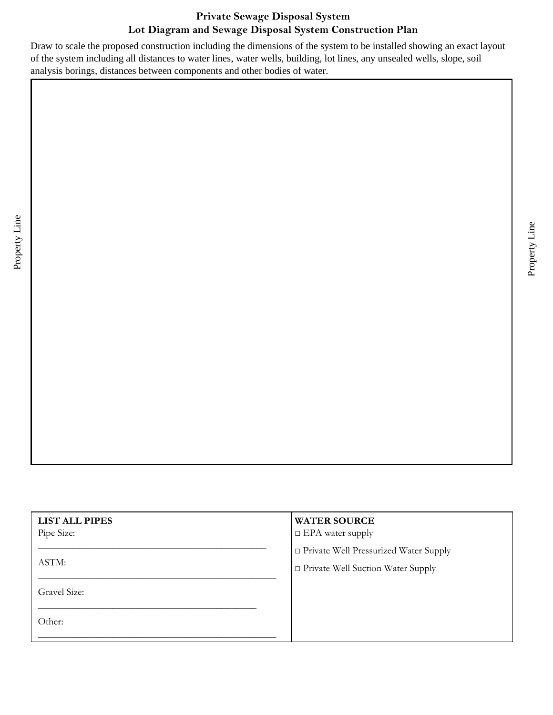## **Private Sewage Disposal System Lot Diagram and Sewage Disposal System Construction Plan**

Draw to scale the proposed construction including the dimensions of the system to be installed showing an exact layout of the system including all distances to water lines, water wells, building, lot lines, any unsealed wells, slope, soil analysis borings, distances between components and other bodies of water.

Property Line

| <b>LIST ALL PIPES</b><br>Pipe Size: | <b>WATER SOURCE</b><br>$\Box$ EPA water supply |
|-------------------------------------|------------------------------------------------|
|                                     | □ Private Well Pressurized Water Supply        |
| ASTM:                               | $\Box$ Private Well Suction Water Supply       |
| Gravel Size:                        |                                                |
| Other:                              |                                                |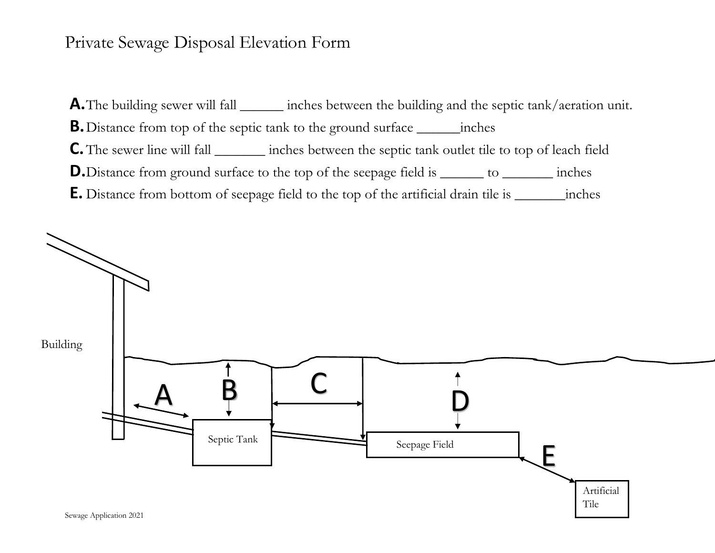## Private Sewage Disposal Elevation Form

**A.** The building sewer will fall \_\_\_\_\_\_\_ inches between the building and the septic tank/aeration unit. **B.**Distance from top of the septic tank to the ground surface \_\_\_\_\_\_inches **C.**The sewer line will fall \_\_\_\_\_\_\_ inches between the septic tank outlet tile to top of leach field **D.**Distance from ground surface to the top of the seepage field is \_\_\_\_\_\_\_ to \_\_\_\_\_\_\_\_ inches **E.** Distance from bottom of seepage field to the top of the artificial drain tile is \_\_\_\_\_\_\_inches